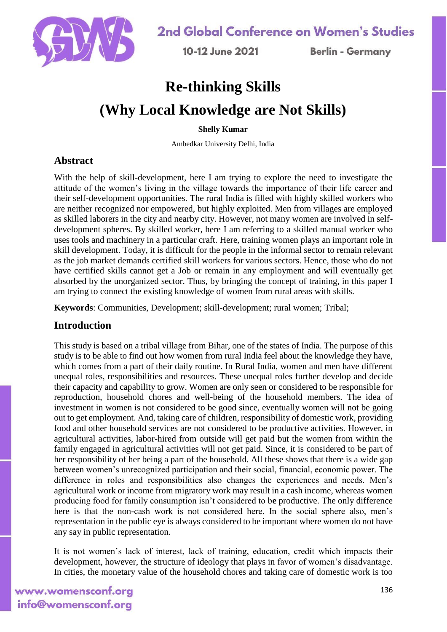

10-12 June 2021

**Berlin - Germany** 

# **Re-thinking Skills (Why Local Knowledge are Not Skills)**

#### **Shelly Kumar**

Ambedkar University Delhi, India

# **Abstract**

With the help of skill-development, here I am trying to explore the need to investigate the attitude of the women's living in the village towards the importance of their life career and their self-development opportunities. The rural India is filled with highly skilled workers who are neither recognized nor empowered, but highly exploited. Men from villages are employed as skilled laborers in the city and nearby city. However, not many women are involved in selfdevelopment spheres. By skilled worker, here I am referring to a skilled manual worker who uses tools and machinery in a particular craft. Here, training women plays an important role in skill development. Today, it is difficult for the people in the informal sector to remain relevant as the job market demands certified skill workers for various sectors. Hence, those who do not have certified skills cannot get a Job or remain in any employment and will eventually get absorbed by the unorganized sector. Thus, by bringing the concept of training, in this paper I am trying to connect the existing knowledge of women from rural areas with skills.

**Keywords**: Communities, Development; skill-development; rural women; Tribal;

# **Introduction**

This study is based on a tribal village from Bihar, one of the states of India. The purpose of this study is to be able to find out how women from rural India feel about the knowledge they have, which comes from a part of their daily routine. In Rural India, women and men have different unequal roles, responsibilities and resources. These unequal roles further develop and decide their capacity and capability to grow. Women are only seen or considered to be responsible for reproduction, household chores and well-being of the household members. The idea of investment in women is not considered to be good since, eventually women will not be going out to get employment. And, taking care of children, responsibility of domestic work, providing food and other household services are not considered to be productive activities. However, in agricultural activities, labor-hired from outside will get paid but the women from within the family engaged in agricultural activities will not get paid. Since, it is considered to be part of her responsibility of her being a part of the household. All these shows that there is a wide gap between women's unrecognized participation and their social, financial, economic power. The difference in roles and responsibilities also changes the experiences and needs. Men's agricultural work or income from migratory work may result in a cash income, whereas women producing food for family consumption isn't considered to b**e** productive. The only difference here is that the non-cash work is not considered here. In the social sphere also, men's representation in the public eye is always considered to be important where women do not have any say in public representation.

It is not women's lack of interest, lack of training, education, credit which impacts their development, however, the structure of ideology that plays in favor of women's disadvantage. In cities, the monetary value of the household chores and taking care of domestic work is too

# www.womensconf.org info@womensconf.org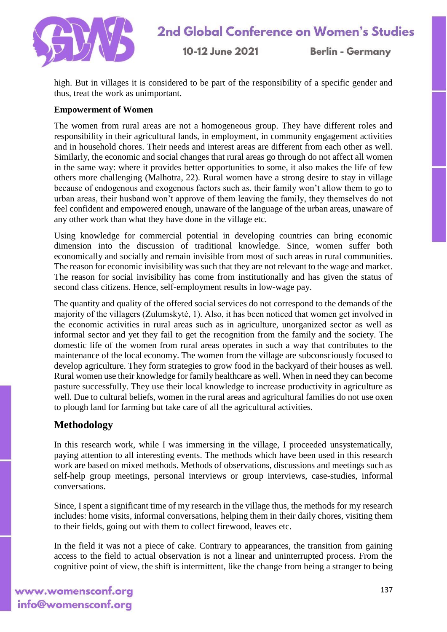

10-12 June 2021

**Berlin - Germany** 

high. But in villages it is considered to be part of the responsibility of a specific gender and thus, treat the work as unimportant.

#### **Empowerment of Women**

The women from rural areas are not a homogeneous group. They have different roles and responsibility in their agricultural lands, in employment, in community engagement activities and in household chores. Their needs and interest areas are different from each other as well. Similarly, the economic and social changes that rural areas go through do not affect all women in the same way: where it provides better opportunities to some, it also makes the life of few others more challenging (Malhotra, 22). Rural women have a strong desire to stay in village because of endogenous and exogenous factors such as, their family won't allow them to go to urban areas, their husband won't approve of them leaving the family, they themselves do not feel confident and empowered enough, unaware of the language of the urban areas, unaware of any other work than what they have done in the village etc.

Using knowledge for commercial potential in developing countries can bring economic dimension into the discussion of traditional knowledge. Since, women suffer both economically and socially and remain invisible from most of such areas in rural communities. The reason for economic invisibility was such that they are not relevant to the wage and market. The reason for social invisibility has come from institutionally and has given the status of second class citizens. Hence, self-employment results in low-wage pay.

The quantity and quality of the offered social services do not correspond to the demands of the majority of the villagers (Zulumskytė, 1). Also, it has been noticed that women get involved in the economic activities in rural areas such as in agriculture, unorganized sector as well as informal sector and yet they fail to get the recognition from the family and the society. The domestic life of the women from rural areas operates in such a way that contributes to the maintenance of the local economy. The women from the village are subconsciously focused to develop agriculture. They form strategies to grow food in the backyard of their houses as well. Rural women use their knowledge for family healthcare as well. When in need they can become pasture successfully. They use their local knowledge to increase productivity in agriculture as well. Due to cultural beliefs, women in the rural areas and agricultural families do not use oxen to plough land for farming but take care of all the agricultural activities.

## **Methodology**

In this research work, while I was immersing in the village, I proceeded unsystematically, paying attention to all interesting events. The methods which have been used in this research work are based on mixed methods. Methods of observations, discussions and meetings such as self-help group meetings, personal interviews or group interviews, case-studies, informal conversations.

Since, I spent a significant time of my research in the village thus, the methods for my research includes: home visits, informal conversations, helping them in their daily chores, visiting them to their fields, going out with them to collect firewood, leaves etc.

In the field it was not a piece of cake. Contrary to appearances, the transition from gaining access to the field to actual observation is not a linear and uninterrupted process. From the cognitive point of view, the shift is intermittent, like the change from being a stranger to being

www.womensconf.org info@womensconf.org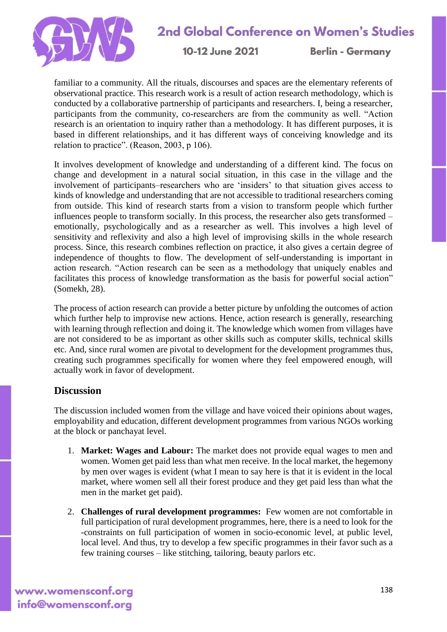

# 2nd Global Conference on Women's Studies

10-12 June 2021

**Berlin - Germany** 

familiar to a community. All the rituals, discourses and spaces are the elementary referents of observational practice. This research work is a result of action research methodology, which is conducted by a collaborative partnership of participants and researchers. I, being a researcher, participants from the community, co-researchers are from the community as well. "Action research is an orientation to inquiry rather than a methodology. It has different purposes, it is based in different relationships, and it has different ways of conceiving knowledge and its relation to practice". (Reason, 2003, p 106).

It involves development of knowledge and understanding of a different kind. The focus on change and development in a natural social situation, in this case in the village and the involvement of participants–researchers who are 'insiders' to that situation gives access to kinds of knowledge and understanding that are not accessible to traditional researchers coming from outside. This kind of research starts from a vision to transform people which further influences people to transform socially. In this process, the researcher also gets transformed – emotionally, psychologically and as a researcher as well. This involves a high level of sensitivity and reflexivity and also a high level of improvising skills in the whole research process. Since, this research combines reflection on practice, it also gives a certain degree of independence of thoughts to flow. The development of self-understanding is important in action research. "Action research can be seen as a methodology that uniquely enables and facilitates this process of knowledge transformation as the basis for powerful social action" (Somekh, 28).

The process of action research can provide a better picture by unfolding the outcomes of action which further help to improvise new actions. Hence, action research is generally, researching with learning through reflection and doing it. The knowledge which women from villages have are not considered to be as important as other skills such as computer skills, technical skills etc. And, since rural women are pivotal to development for the development programmes thus, creating such programmes specifically for women where they feel empowered enough, will actually work in favor of development.

## **Discussion**

The discussion included women from the village and have voiced their opinions about wages, employability and education, different development programmes from various NGOs working at the block or panchayat level.

- 1. **Market: Wages and Labour:** The market does not provide equal wages to men and women. Women get paid less than what men receive. In the local market, the hegemony by men over wages is evident (what I mean to say here is that it is evident in the local market, where women sell all their forest produce and they get paid less than what the men in the market get paid).
- 2. **Challenges of rural development programmes:** Few women are not comfortable in full participation of rural development programmes, here, there is a need to look for the -constraints on full participation of women in socio-economic level, at public level, local level. And thus, try to develop a few specific programmes in their favor such as a few training courses – like stitching, tailoring, beauty parlors etc.

www.womensconf.org info@womensconf.org